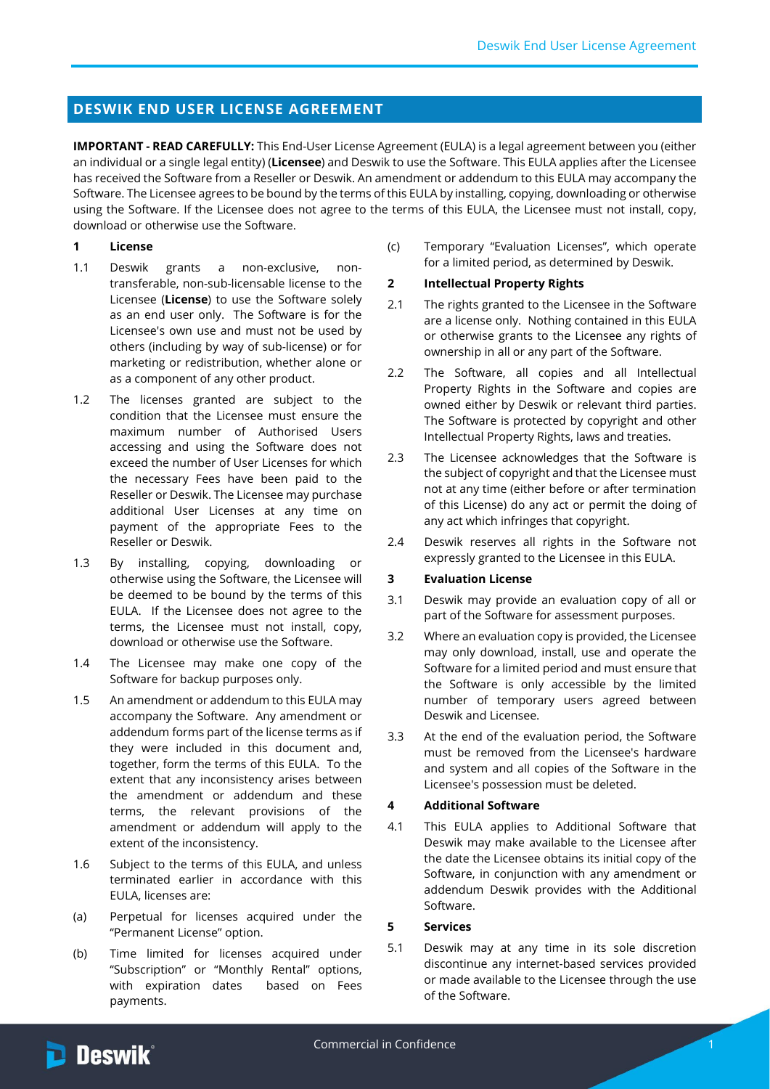# **DESWIK END USER LICENSE AGREEMENT**

**IMPORTANT - READ CAREFULLY:** This End-User License Agreement (EULA) is a legal agreement between you (either an individual or a single legal entity) (**Licensee**) and Deswik to use the Software. This EULA applies after the Licensee has received the Software from a Reseller or Deswik. An amendment or addendum to this EULA may accompany the Software. The Licensee agrees to be bound by the terms of this EULA by installing, copying, downloading or otherwise using the Software. If the Licensee does not agree to the terms of this EULA, the Licensee must not install, copy, download or otherwise use the Software.

# **1 License**

- 1.1 Deswik grants a non-exclusive, nontransferable, non-sub-licensable license to the Licensee (**License**) to use the Software solely as an end user only. The Software is for the Licensee's own use and must not be used by others (including by way of sub-license) or for marketing or redistribution, whether alone or as a component of any other product.
- 1.2 The licenses granted are subject to the condition that the Licensee must ensure the maximum number of Authorised Users accessing and using the Software does not exceed the number of User Licenses for which the necessary Fees have been paid to the Reseller or Deswik. The Licensee may purchase additional User Licenses at any time on payment of the appropriate Fees to the Reseller or Deswik.
- 1.3 By installing, copying, downloading or otherwise using the Software, the Licensee will be deemed to be bound by the terms of this EULA. If the Licensee does not agree to the terms, the Licensee must not install, copy, download or otherwise use the Software.
- 1.4 The Licensee may make one copy of the Software for backup purposes only.
- 1.5 An amendment or addendum to this EULA may accompany the Software. Any amendment or addendum forms part of the license terms as if they were included in this document and, together, form the terms of this EULA. To the extent that any inconsistency arises between the amendment or addendum and these terms, the relevant provisions of the amendment or addendum will apply to the extent of the inconsistency.
- 1.6 Subject to the terms of this EULA, and unless terminated earlier in accordance with this EULA, licenses are:
- (a) Perpetual for licenses acquired under the "Permanent License" option.
- (b) Time limited for licenses acquired under "Subscription" or "Monthly Rental" options, with expiration dates based on Fees payments.

(c) Temporary "Evaluation Licenses", which operate for a limited period, as determined by Deswik.

# <span id="page-0-0"></span>**2 Intellectual Property Rights**

- 2.1 The rights granted to the Licensee in the Software are a license only. Nothing contained in this EULA or otherwise grants to the Licensee any rights of ownership in all or any part of the Software.
- 2.2 The Software, all copies and all Intellectual Property Rights in the Software and copies are owned either by Deswik or relevant third parties. The Software is protected by copyright and other Intellectual Property Rights, laws and treaties.
- 2.3 The Licensee acknowledges that the Software is the subject of copyright and that the Licensee must not at any time (either before or after termination of this License) do any act or permit the doing of any act which infringes that copyright.
- 2.4 Deswik reserves all rights in the Software not expressly granted to the Licensee in this EULA.

# **3 Evaluation License**

- 3.1 Deswik may provide an evaluation copy of all or part of the Software for assessment purposes.
- 3.2 Where an evaluation copy is provided, the Licensee may only download, install, use and operate the Software for a limited period and must ensure that the Software is only accessible by the limited number of temporary users agreed between Deswik and Licensee.
- 3.3 At the end of the evaluation period, the Software must be removed from the Licensee's hardware and system and all copies of the Software in the Licensee's possession must be deleted.

### **4 Additional Software**

4.1 This EULA applies to Additional Software that Deswik may make available to the Licensee after the date the Licensee obtains its initial copy of the Software, in conjunction with any amendment or addendum Deswik provides with the Additional Software.

# **5 Services**

5.1 Deswik may at any time in its sole discretion discontinue any internet-based services provided or made available to the Licensee through the use of the Software.

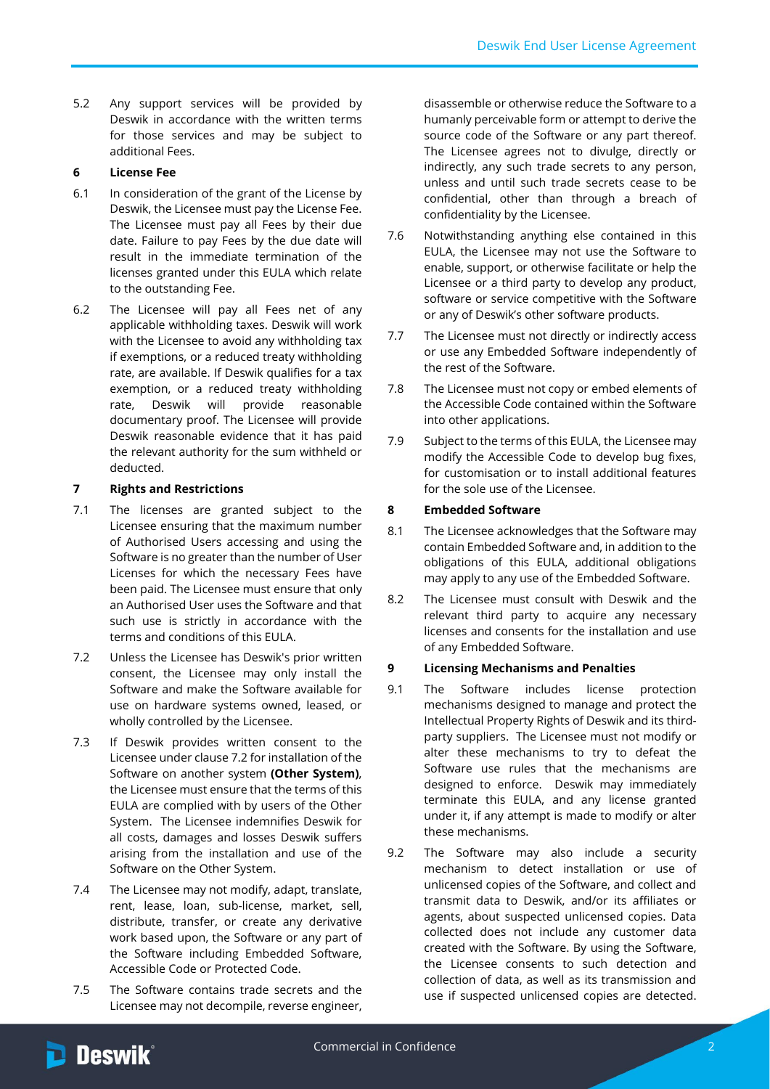5.2 Any support services will be provided by Deswik in accordance with the written terms for those services and may be subject to additional Fees.

# **6 License Fee**

- 6.1 In consideration of the grant of the License by Deswik, the Licensee must pay the License Fee. The Licensee must pay all Fees by their due date. Failure to pay Fees by the due date will result in the immediate termination of the licenses granted under this EULA which relate to the outstanding Fee.
- 6.2 The Licensee will pay all Fees net of any applicable withholding taxes. Deswik will work with the Licensee to avoid any withholding tax if exemptions, or a reduced treaty withholding rate, are available. If Deswik qualifies for a tax exemption, or a reduced treaty withholding rate, Deswik will provide reasonable documentary proof. The Licensee will provide Deswik reasonable evidence that it has paid the relevant authority for the sum withheld or deducted.

# **7 Rights and Restrictions**

- 7.1 The licenses are granted subject to the Licensee ensuring that the maximum number of Authorised Users accessing and using the Software is no greater than the number of User Licenses for which the necessary Fees have been paid. The Licensee must ensure that only an Authorised User uses the Software and that such use is strictly in accordance with the terms and conditions of this EULA.
- <span id="page-1-0"></span>7.2 Unless the Licensee has Deswik's prior written consent, the Licensee may only install the Software and make the Software available for use on hardware systems owned, leased, or wholly controlled by the Licensee.
- 7.3 If Deswik provides written consent to the Licensee under clause [7.2](#page-1-0) for installation of the Software on another system **(Other System)**, the Licensee must ensure that the terms of this EULA are complied with by users of the Other System. The Licensee indemnifies Deswik for all costs, damages and losses Deswik suffers arising from the installation and use of the Software on the Other System.
- <span id="page-1-1"></span>7.4 The Licensee may not modify, adapt, translate, rent, lease, loan, sub-license, market, sell, distribute, transfer, or create any derivative work based upon, the Software or any part of the Software including Embedded Software, Accessible Code or Protected Code.
- <span id="page-1-2"></span>7.5 The Software contains trade secrets and the Licensee may not decompile, reverse engineer,

disassemble or otherwise reduce the Software to a humanly perceivable form or attempt to derive the source code of the Software or any part thereof. The Licensee agrees not to divulge, directly or indirectly, any such trade secrets to any person, unless and until such trade secrets cease to be confidential, other than through a breach of confidentiality by the Licensee.

- <span id="page-1-3"></span>7.6 Notwithstanding anything else contained in this EULA, the Licensee may not use the Software to enable, support, or otherwise facilitate or help the Licensee or a third party to develop any product, software or service competitive with the Software or any of Deswik's other software products.
- 7.7 The Licensee must not directly or indirectly access or use any Embedded Software independently of the rest of the Software.
- <span id="page-1-4"></span>7.8 The Licensee must not copy or embed elements of the Accessible Code contained within the Software into other applications.
- <span id="page-1-5"></span>7.9 Subject to the terms of this EULA, the Licensee may modify the Accessible Code to develop bug fixes, for customisation or to install additional features for the sole use of the Licensee.

# **8 Embedded Software**

- 8.1 The Licensee acknowledges that the Software may contain Embedded Software and, in addition to the obligations of this EULA, additional obligations may apply to any use of the Embedded Software.
- 8.2 The Licensee must consult with Deswik and the relevant third party to acquire any necessary licenses and consents for the installation and use of any Embedded Software.

# <span id="page-1-6"></span>**9 Licensing Mechanisms and Penalties**

- 9.1 The Software includes license protection mechanisms designed to manage and protect the Intellectual Property Rights of Deswik and its thirdparty suppliers. The Licensee must not modify or alter these mechanisms to try to defeat the Software use rules that the mechanisms are designed to enforce. Deswik may immediately terminate this EULA, and any license granted under it, if any attempt is made to modify or alter these mechanisms.
- 9.2 The Software may also include a security mechanism to detect installation or use of unlicensed copies of the Software, and collect and transmit data to Deswik, and/or its affiliates or agents, about suspected unlicensed copies. Data collected does not include any customer data created with the Software. By using the Software, the Licensee consents to such detection and collection of data, as well as its transmission and use if suspected unlicensed copies are detected.

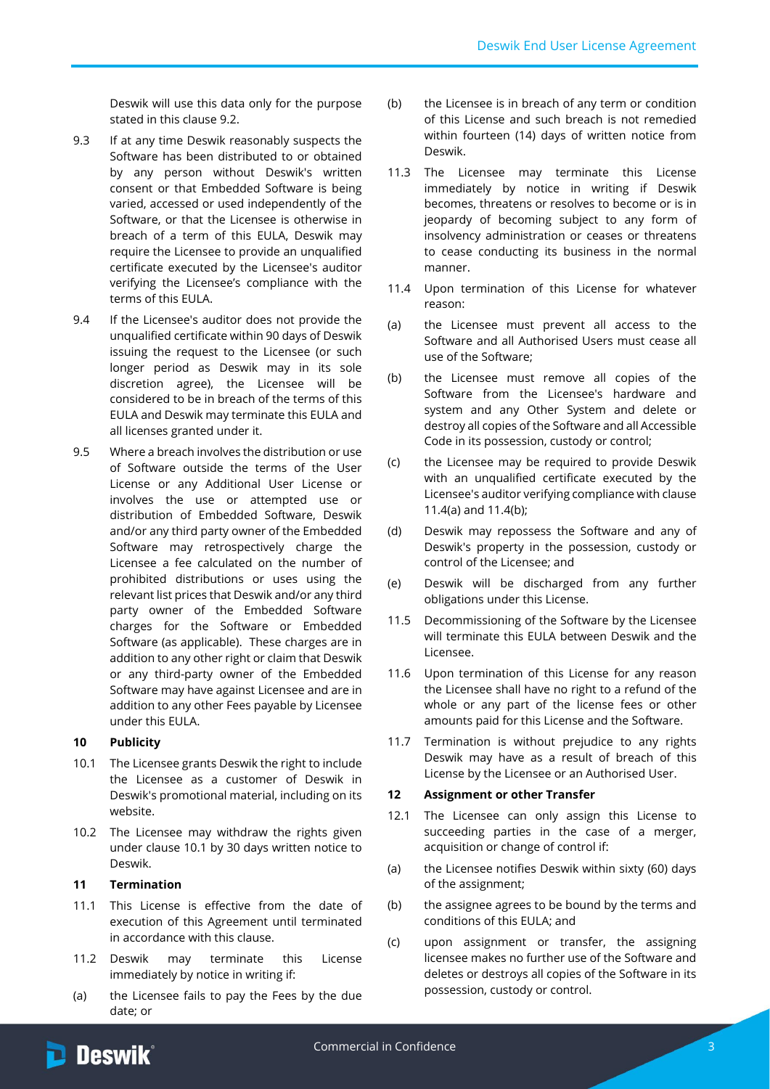Deswik will use this data only for the purpose stated in this clause 9.2.

- 9.3 If at any time Deswik reasonably suspects the Software has been distributed to or obtained by any person without Deswik's written consent or that Embedded Software is being varied, accessed or used independently of the Software, or that the Licensee is otherwise in breach of a term of this EULA, Deswik may require the Licensee to provide an unqualified certificate executed by the Licensee's auditor verifying the Licensee's compliance with the terms of this EULA.
- 9.4 If the Licensee's auditor does not provide the unqualified certificate within 90 days of Deswik issuing the request to the Licensee (or such longer period as Deswik may in its sole discretion agree), the Licensee will be considered to be in breach of the terms of this EULA and Deswik may terminate this EULA and all licenses granted under it.
- 9.5 Where a breach involves the distribution or use of Software outside the terms of the User License or any Additional User License or involves the use or attempted use or distribution of Embedded Software, Deswik and/or any third party owner of the Embedded Software may retrospectively charge the Licensee a fee calculated on the number of prohibited distributions or uses using the relevant list prices that Deswik and/or any third party owner of the Embedded Software charges for the Software or Embedded Software (as applicable). These charges are in addition to any other right or claim that Deswik or any third-party owner of the Embedded Software may have against Licensee and are in addition to any other Fees payable by Licensee under this EULA.

### **10 Publicity**

- <span id="page-2-0"></span>10.1 The Licensee grants Deswik the right to include the Licensee as a customer of Deswik in Deswik's promotional material, including on its website.
- 10.2 The Licensee may withdraw the rights given under clause [10.1](#page-2-0) by 30 days written notice to Deswik.

## <span id="page-2-4"></span>**11 Termination**

- 11.1 This License is effective from the date of execution of this Agreement until terminated in accordance with this clause.
- 11.2 Deswik may terminate this License immediately by notice in writing if:
- (a) the Licensee fails to pay the Fees by the due date; or
- (b) the Licensee is in breach of any term or condition of this License and such breach is not remedied within fourteen (14) days of written notice from Deswik.
- 11.3 The Licensee may terminate this License immediately by notice in writing if Deswik becomes, threatens or resolves to become or is in jeopardy of becoming subject to any form of insolvency administration or ceases or threatens to cease conducting its business in the normal manner.
- <span id="page-2-5"></span>11.4 Upon termination of this License for whatever reason:
- <span id="page-2-1"></span>(a) the Licensee must prevent all access to the Software and all Authorised Users must cease all use of the Software;
- <span id="page-2-2"></span>(b) the Licensee must remove all copies of the Software from the Licensee's hardware and system and any Other System and delete or destroy all copies of the Software and all Accessible Code in its possession, custody or control;
- (c) the Licensee may be required to provide Deswik with an unqualified certificate executed by the Licensee's auditor verifying compliance with clause [11.4\(a\)](#page-2-1) and [11.4\(b\);](#page-2-2)
- (d) Deswik may repossess the Software and any of Deswik's property in the possession, custody or control of the Licensee; and
- (e) Deswik will be discharged from any further obligations under this License.
- 11.5 Decommissioning of the Software by the Licensee will terminate this EULA between Deswik and the Licensee.
- <span id="page-2-6"></span>11.6 Upon termination of this License for any reason the Licensee shall have no right to a refund of the whole or any part of the license fees or other amounts paid for this License and the Software.
- 11.7 Termination is without prejudice to any rights Deswik may have as a result of breach of this License by the Licensee or an Authorised User.

#### <span id="page-2-3"></span>**12 Assignment or other Transfer**

- 12.1 The Licensee can only assign this License to succeeding parties in the case of a merger, acquisition or change of control if:
- (a) the Licensee notifies Deswik within sixty (60) days of the assignment;
- (b) the assignee agrees to be bound by the terms and conditions of this EULA; and
- (c) upon assignment or transfer, the assigning licensee makes no further use of the Software and deletes or destroys all copies of the Software in its possession, custody or control.

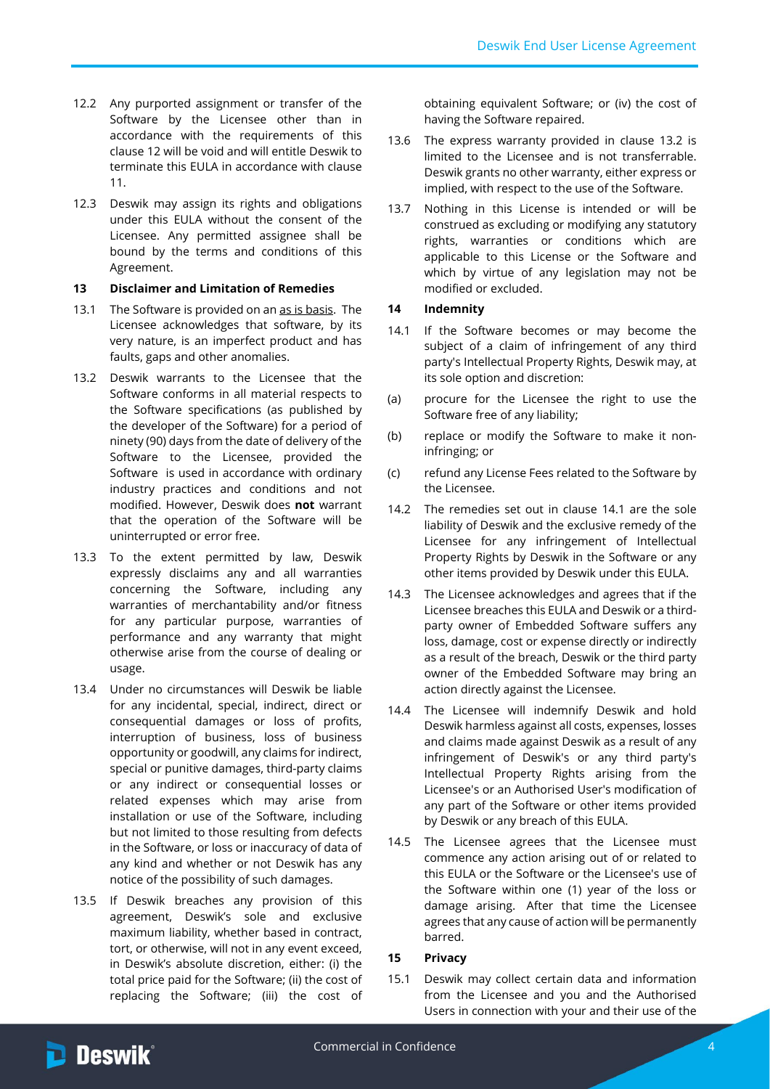- 12.2 Any purported assignment or transfer of the Software by the Licensee other than in accordance with the requirements of this clause [12](#page-2-3) will be void and will entitle Deswik to terminate this EULA in accordance with clause [11.](#page-2-4)
- 12.3 Deswik may assign its rights and obligations under this EULA without the consent of the Licensee. Any permitted assignee shall be bound by the terms and conditions of this Agreement.

#### <span id="page-3-2"></span>**13 Disclaimer and Limitation of Remedies**

- 13.1 The Software is provided on an as is basis. The Licensee acknowledges that software, by its very nature, is an imperfect product and has faults, gaps and other anomalies.
- <span id="page-3-0"></span>13.2 Deswik warrants to the Licensee that the Software conforms in all material respects to the Software specifications (as published by the developer of the Software) for a period of ninety (90) days from the date of delivery of the Software to the Licensee, provided the Software is used in accordance with ordinary industry practices and conditions and not modified. However, Deswik does **not** warrant that the operation of the Software will be uninterrupted or error free.
- 13.3 To the extent permitted by law, Deswik expressly disclaims any and all warranties concerning the Software, including any warranties of merchantability and/or fitness for any particular purpose, warranties of performance and any warranty that might otherwise arise from the course of dealing or usage.
- 13.4 Under no circumstances will Deswik be liable for any incidental, special, indirect, direct or consequential damages or loss of profits, interruption of business, loss of business opportunity or goodwill, any claims for indirect, special or punitive damages, third-party claims or any indirect or consequential losses or related expenses which may arise from installation or use of the Software, including but not limited to those resulting from defects in the Software, or loss or inaccuracy of data of any kind and whether or not Deswik has any notice of the possibility of such damages.
- 13.5 If Deswik breaches any provision of this agreement, Deswik's sole and exclusive maximum liability, whether based in contract, tort, or otherwise, will not in any event exceed, in Deswik's absolute discretion, either: (i) the total price paid for the Software; (ii) the cost of replacing the Software; (iii) the cost of

obtaining equivalent Software; or (iv) the cost of having the Software repaired.

- 13.6 The express warranty provided in clause [13.2](#page-3-0) is limited to the Licensee and is not transferrable. Deswik grants no other warranty, either express or implied, with respect to the use of the Software.
- 13.7 Nothing in this License is intended or will be construed as excluding or modifying any statutory rights, warranties or conditions which are applicable to this License or the Software and which by virtue of any legislation may not be modified or excluded.

### **14 Indemnity**

- <span id="page-3-1"></span>14.1 If the Software becomes or may become the subject of a claim of infringement of any third party's Intellectual Property Rights, Deswik may, at its sole option and discretion:
- (a) procure for the Licensee the right to use the Software free of any liability;
- (b) replace or modify the Software to make it noninfringing; or
- (c) refund any License Fees related to the Software by the Licensee.
- 14.2 The remedies set out in clause [14.1](#page-3-1) are the sole liability of Deswik and the exclusive remedy of the Licensee for any infringement of Intellectual Property Rights by Deswik in the Software or any other items provided by Deswik under this EULA.
- 14.3 The Licensee acknowledges and agrees that if the Licensee breaches this EULA and Deswik or a thirdparty owner of Embedded Software suffers any loss, damage, cost or expense directly or indirectly as a result of the breach, Deswik or the third party owner of the Embedded Software may bring an action directly against the Licensee.
- <span id="page-3-3"></span>14.4 The Licensee will indemnify Deswik and hold Deswik harmless against all costs, expenses, losses and claims made against Deswik as a result of any infringement of Deswik's or any third party's Intellectual Property Rights arising from the Licensee's or an Authorised User's modification of any part of the Software or other items provided by Deswik or any breach of this EULA.
- <span id="page-3-4"></span>14.5 The Licensee agrees that the Licensee must commence any action arising out of or related to this EULA or the Software or the Licensee's use of the Software within one (1) year of the loss or damage arising. After that time the Licensee agrees that any cause of action will be permanently barred.

#### <span id="page-3-5"></span>**15 Privacy**

15.1 Deswik may collect certain data and information from the Licensee and you and the Authorised Users in connection with your and their use of the

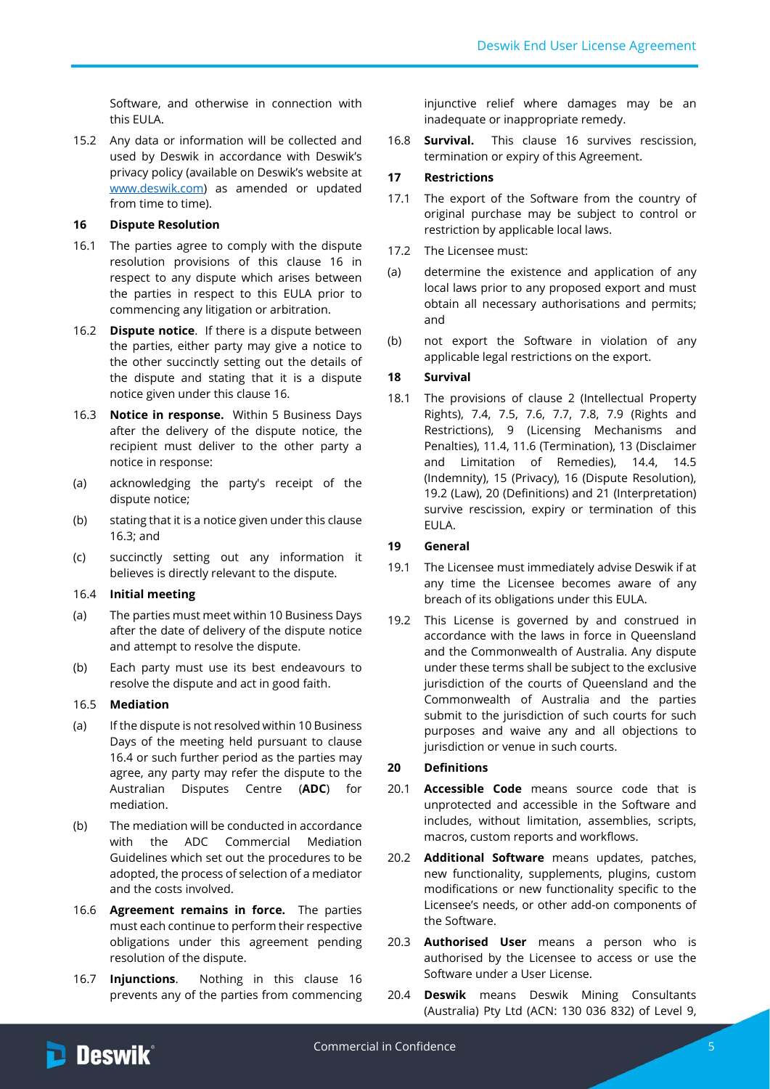Software, and otherwise in connection with this EULA.

15.2 Any data or information will be collected and used by Deswik in accordance with Deswik's privacy policy (available on Deswik's website at [www.deswik.com\)](http://www.deswik.com/) as amended or updated from time to time).

#### **16 Dispute Resolution**

- 16.1 The parties agree to comply with the dispute resolution provisions of this clause 16 in respect to any dispute which arises between the parties in respect to this EULA prior to commencing any litigation or arbitration.
- 16.2 **Dispute notice**. If there is a dispute between the parties, either party may give a notice to the other succinctly setting out the details of the dispute and stating that it is a dispute notice given under this clause 16.
- <span id="page-4-0"></span>16.3 **Notice in response.** Within 5 Business Days after the delivery of the dispute notice, the recipient must deliver to the other party a notice in response:
- (a) acknowledging the party's receipt of the dispute notice;
- (b) stating that it is a notice given under this clause [16.3;](#page-4-0) and
- (c) succinctly setting out any information it believes is directly relevant to the dispute.

### <span id="page-4-1"></span>16.4 **Initial meeting**

- (a) The parties must meet within 10 Business Days after the date of delivery of the dispute notice and attempt to resolve the dispute.
- (b) Each party must use its best endeavours to resolve the dispute and act in good faith.

# 16.5 **Mediation**

- (a) If the dispute is not resolved within 10 Business Days of the meeting held pursuant to clause [16.4](#page-4-1) or such further period as the parties may agree, any party may refer the dispute to the Australian Disputes Centre (**ADC**) for mediation.
- (b) The mediation will be conducted in accordance with the ADC Commercial Mediation Guidelines which set out the procedures to be adopted, the process of selection of a mediator and the costs involved.
- 16.6 **Agreement remains in force.** The parties must each continue to perform their respective obligations under this agreement pending resolution of the dispute.
- 16.7 **Injunctions**. Nothing in this clause 16 prevents any of the parties from commencing

injunctive relief where damages may be an inadequate or inappropriate remedy.

16.8 **Survival.** This clause 16 survives rescission, termination or expiry of this Agreement.

#### **17 Restrictions**

- 17.1 The export of the Software from the country of original purchase may be subject to control or restriction by applicable local laws.
- 17.2 The Licensee must:
- (a) determine the existence and application of any local laws prior to any proposed export and must obtain all necessary authorisations and permits; and
- (b) not export the Software in violation of any applicable legal restrictions on the export.

#### **18 Survival**

18.1 The provisions of clause [2](#page-0-0) (Intellectual Property Rights), [7.4,](#page-1-1) [7.5,](#page-1-2) [7.6,](#page-1-3) 7.7, [7.8,](#page-1-4) [7.9](#page-1-5) (Rights and Restrictions), [9](#page-1-6) (Licensing Mechanisms and Penalties), [11.4,](#page-2-5) [11.6](#page-2-6) (Termination), [13](#page-3-2) (Disclaimer and Limitation of Remedies), [14.4,](#page-3-3) [14.5](#page-3-4) (Indemnity), [15](#page-3-5) (Privacy), 16 (Dispute Resolution), [19.2](#page-4-2) (Law), [20](#page-4-3) (Definitions) and [21](#page-5-0) (Interpretation) survive rescission, expiry or termination of this EULA.

#### **19 General**

- 19.1 The Licensee must immediately advise Deswik if at any time the Licensee becomes aware of any breach of its obligations under this EULA.
- <span id="page-4-2"></span>19.2 This License is governed by and construed in accordance with the laws in force in Queensland and the Commonwealth of Australia. Any dispute under these terms shall be subject to the exclusive jurisdiction of the courts of Queensland and the Commonwealth of Australia and the parties submit to the jurisdiction of such courts for such purposes and waive any and all objections to jurisdiction or venue in such courts.

#### <span id="page-4-3"></span>**20 Definitions**

- 20.1 **Accessible Code** means source code that is unprotected and accessible in the Software and includes, without limitation, assemblies, scripts, macros, custom reports and workflows.
- 20.2 **Additional Software** means updates, patches, new functionality, supplements, plugins, custom modifications or new functionality specific to the Licensee's needs, or other add-on components of the Software.
- 20.3 **Authorised User** means a person who is authorised by the Licensee to access or use the Software under a User License.
- 20.4 **Deswik** means Deswik Mining Consultants (Australia) Pty Ltd (ACN: 130 036 832) of Level 9,

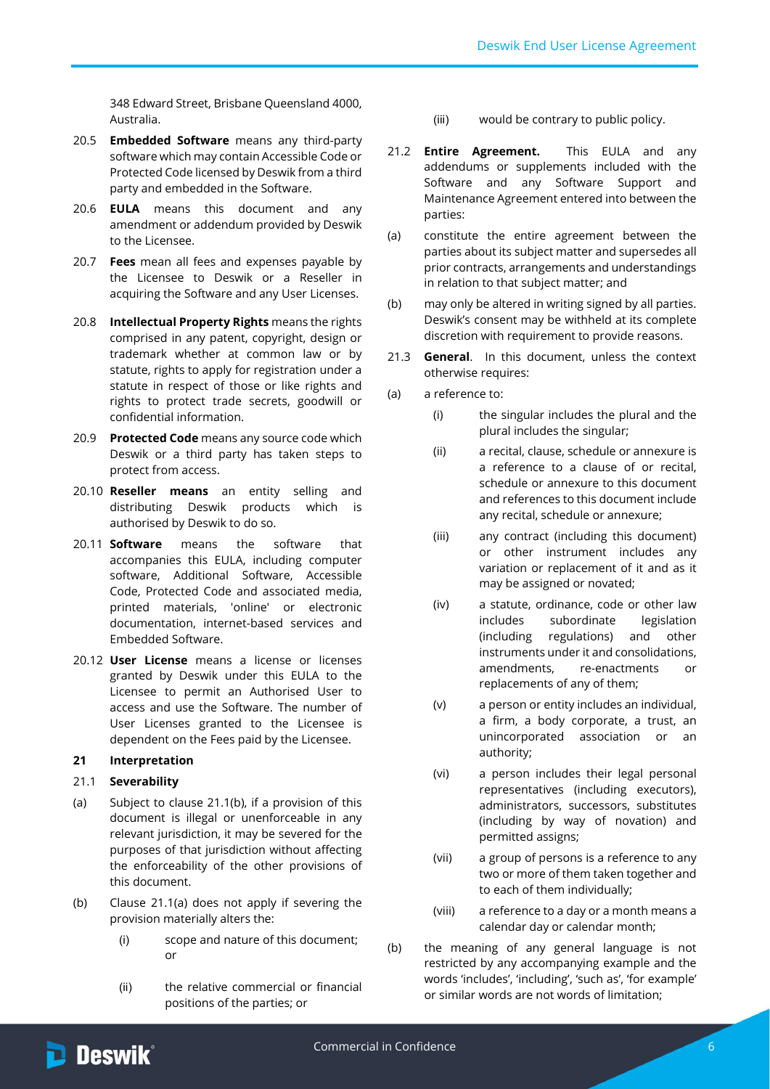348 Edward Street, Brisbane Queensland 4000, Australia.

- 20.5 **Embedded Software** means any third-party software which may contain Accessible Code or Protected Code licensed by Deswik from a third party and embedded in the Software.
- 20.6 **EULA** means this document and any amendment or addendum provided by Deswik to the Licensee.
- 20.7 **Fees** mean all fees and expenses payable by the Licensee to Deswik or a Reseller in acquiring the Software and any User Licenses.
- 20.8 **Intellectual Property Rights** means the rights comprised in any patent, copyright, design or trademark whether at common law or by statute, rights to apply for registration under a statute in respect of those or like rights and rights to protect trade secrets, goodwill or confidential information.
- 20.9 **Protected Code** means any source code which Deswik or a third party has taken steps to protect from access.
- 20.10 **Reseller means** an entity selling and distributing Deswik products which is authorised by Deswik to do so.
- 20.11 **Software** means the software that accompanies this EULA, including computer software, Additional Software, Accessible Code, Protected Code and associated media, printed materials, 'online' or electronic documentation, internet-based services and Embedded Software.
- 20.12 **User License** means a license or licenses granted by Deswik under this EULA to the Licensee to permit an Authorised User to access and use the Software. The number of User Licenses granted to the Licensee is dependent on the Fees paid by the Licensee.

# <span id="page-5-0"></span>**21 Interpretation**

#### 21.1 **Severability**

- <span id="page-5-2"></span>(a) Subject to clause [21.1\(b\),](#page-5-1) if a provision of this document is illegal or unenforceable in any relevant jurisdiction, it may be severed for the purposes of that jurisdiction without affecting the enforceability of the other provisions of this document.
- <span id="page-5-1"></span>(b) Clause [21.1\(a\)](#page-5-2) does not apply if severing the provision materially alters the:
	- (i) scope and nature of this document; or
	- (ii) the relative commercial or financial positions of the parties; or
- (iii) would be contrary to public policy.
- 21.2 **Entire Agreement.** This EULA and any addendums or supplements included with the Software and any Software Support and Maintenance Agreement entered into between the parties:
- (a) constitute the entire agreement between the parties about its subject matter and supersedes all prior contracts, arrangements and understandings in relation to that subject matter; and
- (b) may only be altered in writing signed by all parties. Deswik's consent may be withheld at its complete discretion with requirement to provide reasons.
- 21.3 **General**. In this document, unless the context otherwise requires:
- (a) a reference to:
	- (i) the singular includes the plural and the plural includes the singular;
	- (ii) a recital, clause, schedule or annexure is a reference to a clause of or recital, schedule or annexure to this document and references to this document include any recital, schedule or annexure;
	- (iii) any contract (including this document) or other instrument includes any variation or replacement of it and as it may be assigned or novated;
	- (iv) a statute, ordinance, code or other law includes subordinate legislation (including regulations) and other instruments under it and consolidations, amendments, re-enactments or replacements of any of them;
	- (v) a person or entity includes an individual, a firm, a body corporate, a trust, an unincorporated association or an authority;
	- (vi) a person includes their legal personal representatives (including executors), administrators, successors, substitutes (including by way of novation) and permitted assigns;
	- (vii) a group of persons is a reference to any two or more of them taken together and to each of them individually;
	- (viii) a reference to a day or a month means a calendar day or calendar month;
- (b) the meaning of any general language is not restricted by any accompanying example and the words 'includes', 'including', 'such as', 'for example' or similar words are not words of limitation;